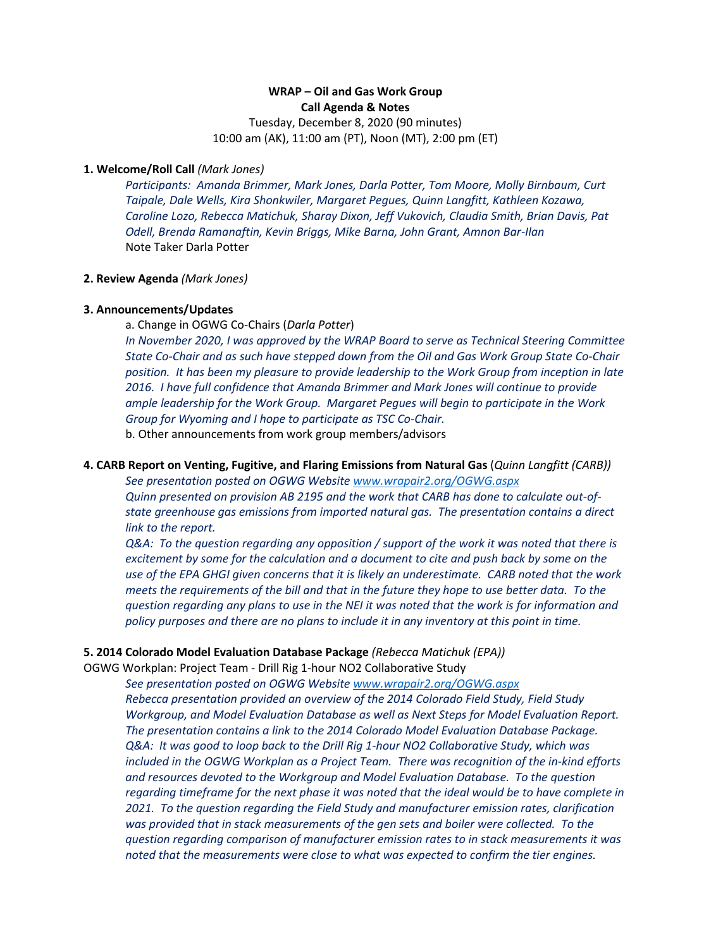# **WRAP – Oil and Gas Work Group Call Agenda & Notes**

Tuesday, December 8, 2020 (90 minutes) 10:00 am (AK), 11:00 am (PT), Noon (MT), 2:00 pm (ET)

## **1. Welcome/Roll Call** *(Mark Jones)*

*Participants: Amanda Brimmer, Mark Jones, Darla Potter, Tom Moore, Molly Birnbaum, Curt Taipale, Dale Wells, Kira Shonkwiler, Margaret Pegues, Quinn Langfitt, Kathleen Kozawa, Caroline Lozo, Rebecca Matichuk, Sharay Dixon, Jeff Vukovich, Claudia Smith, Brian Davis, Pat Odell, Brenda Ramanaftin, Kevin Briggs, Mike Barna, John Grant, Amnon Bar-Ilan* Note Taker Darla Potter

## **2. Review Agenda** *(Mark Jones)*

## **3. Announcements/Updates**

a. Change in OGWG Co-Chairs (*Darla Potter*)

*In November 2020, I was approved by the WRAP Board to serve as Technical Steering Committee State Co-Chair and as such have stepped down from the Oil and Gas Work Group State Co-Chair position. It has been my pleasure to provide leadership to the Work Group from inception in late 2016. I have full confidence that Amanda Brimmer and Mark Jones will continue to provide ample leadership for the Work Group. Margaret Pegues will begin to participate in the Work Group for Wyoming and I hope to participate as TSC Co-Chair.* 

b. Other announcements from work group members/advisors

### **4. CARB Report on Venting, Fugitive, and Flaring Emissions from Natural Gas** (*Quinn Langfitt (CARB))*

*See presentation posted on OGWG Website [www.wrapair2.org/OGWG.aspx](http://www.wrapair2.org/OGWG.aspx)*

*Quinn presented on provision AB 2195 and the work that CARB has done to calculate out-ofstate greenhouse gas emissions from imported natural gas. The presentation contains a direct link to the report.*

*Q&A: To the question regarding any opposition / support of the work it was noted that there is excitement by some for the calculation and a document to cite and push back by some on the use of the EPA GHGI given concerns that it is likely an underestimate. CARB noted that the work meets the requirements of the bill and that in the future they hope to use better data. To the question regarding any plans to use in the NEI it was noted that the work is for information and policy purposes and there are no plans to include it in any inventory at this point in time.*

### **5. 2014 Colorado Model Evaluation Database Package** *(Rebecca Matichuk (EPA))*

OGWG Workplan: Project Team - Drill Rig 1-hour NO2 Collaborative Study

*See presentation posted on OGWG Website [www.wrapair2.org/OGWG.aspx](http://www.wrapair2.org/OGWG.aspx) Rebecca presentation provided an overview of the 2014 Colorado Field Study, Field Study Workgroup, and Model Evaluation Database as well as Next Steps for Model Evaluation Report. The presentation contains a link to the 2014 Colorado Model Evaluation Database Package. Q&A: It was good to loop back to the Drill Rig 1-hour NO2 Collaborative Study, which was included in the OGWG Workplan as a Project Team. There was recognition of the in-kind efforts and resources devoted to the Workgroup and Model Evaluation Database. To the question regarding timeframe for the next phase it was noted that the ideal would be to have complete in 2021. To the question regarding the Field Study and manufacturer emission rates, clarification was provided that in stack measurements of the gen sets and boiler were collected. To the question regarding comparison of manufacturer emission rates to in stack measurements it was noted that the measurements were close to what was expected to confirm the tier engines.*